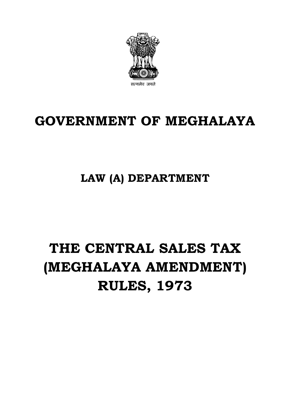

## **GOVERNMENT OF MEGHALAYA**

### **LAW (A) DEPARTMENT**

# **THE CENTRAL SALES TAX (MEGHALAYA AMENDMENT) RULES, 1973**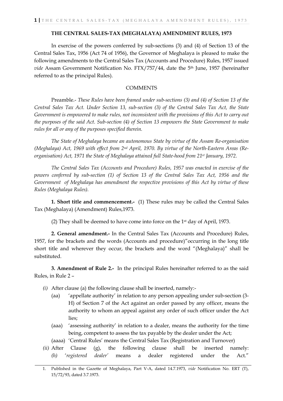#### **THE CENTRAL SALES-TAX (MEGHALAYA) AMENDMENT RULES, 1973**

In exercise of the powers conferred by sub-sections (3) and (4) of Section 13 of the Central Sales Tax, 1956 (Act 74 of 1956), the Governor of Meghalaya is pleased to make the following amendments to the Central Sales Tax (Accounts and Procedure) Rules, 1957 issued *vide* Assam Government Notification No. FTX/757/44, date the 5<sup>th</sup> June, 1957 (hereinafter referred to as the principal Rules).

#### **COMMENTS**

Preamble.- *These Rules have been framed under sub-sections (3) and (4) of Section 13 of the Central Sales Tax Act. Under Section 13, sub-section (3) of the Central Sales Tax Act, the State Government is empowered to make rules, not inconsistent with the provisions of this Act to carry out the purposes of the said Act. Sub-section (4) of Section 13 empowers the State Government to make rules for all or any of the purposes specified therein.*

*The State of Meghalaya became an autonomous State by virtue of the Assam Re-organisation (Meghalaya) Act, 1969 with effect from 2nd April, 1970. By virtue of the North-Eastern Areas (Reorganisation) Act, 1971 the State of Meghalaya attained full State-hood from 21st January, 1972.*

*The Central Sales Tax (Accounts and Procedure) Rules, 1957 was enacted in exercise of the powers conferred by sub-section (1) of Section 13 of the Central Sales Tax Act, 1956 and the Government of Meghalaya has amendment the respective provisions of this Act by virtue of these Rules (Meghalaya Rules).*

**1. Short title and commencement.-** (1) These rules may be called the Central Sales Tax (Meghalaya) (Amendment) Rules,1973.

(2) They shall be deemed to have come into force on the 1st day of April, 1973.

**2. General amendment.-** In the Central Sales Tax (Accounts and Procedure) Rules, 1957, for the brackets and the words (Accounts and procedure)"occurring in the long title short title and wherever they occur, the brackets and the word "(Meghalaya)" shall be substituted.

**3. Amendment of Rule 2.-** In the principal Rules hereinafter referred to as the said Rules, in Rule 2 –

- *(i)* After clause (a) the following clause shall be inserted, namely:-
	- (aa) 'appellate authority' in relation to any person appealing under sub-section (3- H) of Section 7 of the Act against an order passed by any officer, means the authority to whom an appeal against any order of such officer under the Act lies;
	- (aaa) 'assessing authority' in relation to a dealer, means the authority for the time being, competent to assess the tax payable by the dealer under the Act;
	- (aaaa) 'Central Rules' means the Central Sales Tax (Registration and Turnover)
- *(ii)* After Clause (g), the following clause shall be inserted namely: *(h)* '*registered dealer'* means a dealer registered under the Act."

<sup>1.</sup> Published in the Gazette of Meghalaya, Part V-A, dated 14.7.1973, *vide* Notification No. ERT (T), 15/72/93, dated 3.7.1973.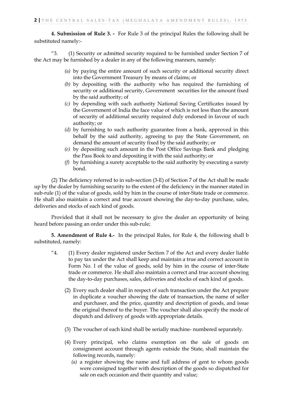**4. Submission of Rule 3. -** For Rule 3 of the principal Rules the following shall be substituted namely:-

"3. (1) Security or admitted security required to be furnished under Section 7 of the Act may be furnished by a dealer in any of the following manners, namely:

- *(a)* by paying the entire amount of such security or additional security direct into the Government Treasury by means of claims; or
- *(b)* by depositing with the authority who has required the furnishing of security or additional security, Government securities for the amount fixed by the said authority; of
- *(c)* by depending with such authority National Saving Certificates issued by the Government of India the face value of which is not less than the amount of security of additional security required duly endorsed in favour of such authority; or
- *(d)* by furnishing to such authority guarantee from a bank, approved in this behalf by the said authority, agreeing to pay the State Government, on demand the amount of security fixed by the said authority; or
- *(e)* by depositing such amount in the Post Office Savings Bank and pledging the Pass Book to and depositing it with the said authority; or
- *(f)* by furnishing a surety acceptable to the said authority by executing a surety bond.

(2) The deficiency referred to in sub-section (3-E) of Section 7 of the Act shall be made up by the dealer by furnishing security to the extent of the deficiency in the manner stated in sub-rule (1) of the value of goods, sold by him in the course of inter-State trade or commerce. He shall also maintain a correct and true account showing the day-to-day purchase, sales, deliveries and stocks of each kind of goods.

Provided that it shall not be necessary to give the dealer an opportunity of being heard before passing an order under this sub-rule;

**5. Amendment of Rule 4.-** In the principal Rules, for Rule 4, the following shall b substituted, namely:

- "4. (1) Every dealer registered under Section 7 of the Act and every dealer liable to pay tax under the Act shall keep and maintain a true and correct account in Form No. I of the value of goods, sold by him in the course of inter-State trade or commerce. He shall also maintain a correct and true account showing the day-to-day purchases, sales, deliveries and stocks of each kind of goods.
	- (2) Every such dealer shall in respect of such transaction under the Act prepare in duplicate a voucher showing the date of transaction, the name of seller and purchaser, and the price, quantity and description of goods, and issue the original thereof to the buyer. The voucher shall also specify the mode of dispatch and delivery of goods with appropriate details.
	- (3) The voucher of each kind shall be serially machine- numbered separately.
	- (4) Every principal, who claims exemption on the sale of goods on consignment account through agents outside the State, shall maintain the following records, namely:
		- *(a)* a register showing the name and full address of gent to whom goods were consigned together with description of the goods so dispatched for sale on each occasion and their quantity and value;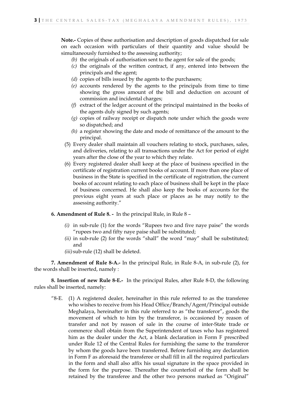**Note.-** Copies of these authorisation and description of goods dispatched for sale on each occasion with particulars of their quantity and value should be simultaneously furnished to the assessing authority;

- *(b)* the originals of authorisation sent to the agent for sale of the goods;
- *(c)* the originals of the written contract, if any, entered into between the principals and the agent;
- *(d)* copies of bills issued by the agents to the purchasers;
- *(e)* accounts rendered by the agents to the principals from time to time showing the gross amount of the bill and deduction on account of commission and incidental charges;
- *(f)* extract of the ledger account of the principal maintained in the books of the agents duly signed by such agents;
- *(g)* copies of railway receipt or dispatch note under which the goods were so dispatched; and
- *(h)* a register showing the date and mode of remittance of the amount to the principal.
- (5) Every dealer shall maintain all vouchers relating to stock, purchases, sales, and deliveries, relating to all transactions under the Act for period of eight years after the close of the year to which they relate.
- (6) Every registered dealer shall keep at the place of business specified in the certificate of registration current books of account. If more than one place of business in the State is specified in the certificate of registration, the current books of account relating to each place of business shall be kept in the place of business concerned. He shall also keep the books of accounts for the previous eight years at such place or places as he may notify to the assessing authority."

**6. Amendment of Rule 8. -** In the principal Rule, in Rule 8 –

- *(i)* in sub-rule (1) for the words "Rupees two and five naye paise" the words "rupees two and fifty naye paise shall be substituted;
- *(ii)* in sub-rule (2) for the words "shall" the word "may" shall be substituted; and
- *(iii)* sub-rule (12) shall be deleted.

**7. Amendment of Rule 8-A.-** In the principal Rule, in Rule 8-A, in sub-rule (2), for the words shall be inserted, namely :

**8. Insertion of new Rule 8-E.-** In the principal Rules, after Rule 8-D, the following rules shall be inserted, namely:

"8-E. (1) A registered dealer, hereinafter in this rule referred to as the transferee who wishes to receive from his Head Office/Branch/Agent/Principal outside Meghalaya, hereinafter in this rule referred to as "the transferor", goods the movement of which to him by the transferor, is occasioned by reason of transfer and not by reason of sale in the course of inter-State trade or commerce shall obtain from the Superintendent of taxes who has registered him as the dealer under the Act, a blank declaration in Form F prescribed under Rule 12 of the Central Rules for furnishing the same to the transferor by whom the goods have been transferred. Before furnishing any declaration in Form F as aforesaid the transferee or shall fill in all the required particulars in the form and shall also affix his usual signature in the space provided in the form for the purpose. Thereafter the counterfoil of the form shall be retained by the transferee and the other two persons marked as "Original"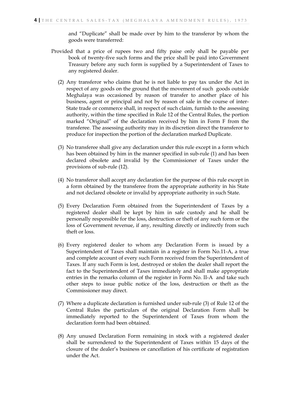and "Duplicate" shall be made over by him to the transferor by whom the goods were transferred:

- Provided that a price of rupees two and fifty paise only shall be payable per book of twenty-five such forms and the price shall be paid into Government Treasury before any such form is supplied by a Superintendent of Taxes to any registered dealer.
	- (2) Any transferor who claims that he is not liable to pay tax under the Act in respect of any goods on the ground that the movement of such goods outside Meghalaya was occasioned by reason of transfer to another place of his business, agent or principal and not by reason of sale in the course of inter-State trade or commerce shall, in respect of such claim, furnish to the assessing authority, within the time specified in Rule 12 of the Central Rules, the portion marked "Original" of the declaration received by him in Form F from the transferee. The assessing authority may in its discretion direct the transferor to produce for inspection the portion of the declaration marked Duplicate.
	- (3) No transferee shall give any declaration under this rule except in a form which has been obtained by him in the manner specified in sub-rule (1) and has been declared obsolete and invalid by the Commissioner of Taxes under the provisions of sub-rule (12).
	- (4) No transferor shall accept any declaration for the purpose of this rule except in a form obtained by the transferee from the appropriate authority in his State and not declared obsolete or invalid by appropriate authority in such State.
	- (5) Every Declaration Form obtained from the Superintendent of Taxes by a registered dealer shall be kept by him in safe custody and he shall be personally responsible for the loss, destruction or theft of any such form or the loss of Government revenue, if any, resulting directly or indirectly from such theft or loss.
	- (6) Every registered dealer to whom any Declaration Form is issued by a Superintendent of Taxes shall maintain in a register in Form No.11-A, a true and complete account of every such Form received from the Superintendent of Taxes. If any such Form is lost, destroyed or stolen the dealer shall report the fact to the Superintendent of Taxes immediately and shall make appropriate entries in the remarks column of the register in Form No. II-A and take such other steps to issue public notice of the loss, destruction or theft as the Commissioner may direct.
	- (7) Where a duplicate declaration is furnished under sub-rule (3) of Rule 12 of the Central Rules the particulars of the original Declaration Form shall be immediately reported to the Superintendent of Taxes from whom the declaration form had been obtained.
	- (8) Any unused Declaration Form remaining in stock with a registered dealer shall be surrendered to the Superintendent of Taxes within 15 days of the closure of the dealer's business or cancellation of his certificate of registration under the Act.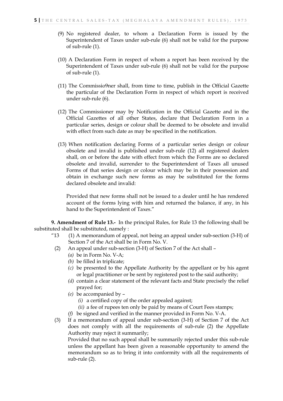- (9) No registered dealer, to whom a Declaration Form is issued by the Superintendent of Taxes under sub-rule (6) shall not be valid for the purpose of sub-rule (1).
- (10) A Declaration Form in respect of whom a report has been received by the Superintendent of Taxes under sub-rule (6) shall not be valid for the purpose of sub-rule (1).
- (11) The Commissio9ner shall, from time to time, publish in the Official Gazette the particular of the Declaration Form in respect of which report is received under sub-rule (6).
- (12) The Commissioner may by Notification in the Official Gazette and in the Official Gazettes of all other States, declare that Declaration Form in a particular series, design or colour shall be deemed to be obsolete and invalid with effect from such date as may be specified in the notification.
- (13) When notification declaring Forms of a particular series design or colour obsolete and invalid is published under sub-rule (12) all registered dealers shall, on or before the date with effect from which the Forms are so declared obsolete and invalid, surrender to the Superintendent of Taxes all unused Forms of that series design or colour which may be in their possession and obtain in exchange such new forms as may be substituted for the forms declared obsolete and invalid:

Provided that new forms shall not be issued to a dealer until he has rendered account of the forms lying with him and returned the balance, if any, in his hand to the Superintendent of Taxes."

**9. Amendment of Rule 13.-** In the principal Rules, for Rule 13 the following shall be substituted shall be substituted, namely :

- "13 $(1)$  A memorandum of appeal, not being an appeal under sub-section (3-H) of Section 7 of the Act shall be in Form No. V.
	- (2) An appeal under sub-section (3-H) of Section 7 of the Act shall
		- *(a)* be in Form No. V-A;
		- *(b)* be filled in triplicate;
		- *(c)* be presented to the Appellate Authority by the appellant or by his agent or legal practitioner or be sent by registered post to the said authority;
		- *(d)* contain a clear statement of the relevant facts and State precisely the relief prayed for;
		- *(e)* be accompanied by
			- *(i)* a certified copy of the order appealed against;
			- *(ii)* a fee of rupees ten only be paid by means of Court Fees stamps;
		- *(f)* be signed and verified in the manner provided in Form No. V-A.
	- (3) If a memorandum of appeal under sub-section (3-H) of Section 7 of the Act does not comply with all the requirements of sub-rule (2) the Appellate Authority may reject it summarily; Provided that no such appeal shall be summarily rejected under this sub-rule

unless the appellant has been given a reasonable opportunity to amend the memorandum so as to bring it into conformity with all the requirements of sub-rule (2).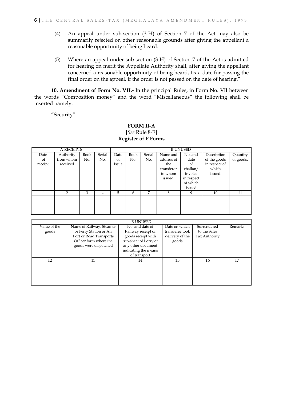- (4) An appeal under sub-section (3-H) of Section 7 of the Act may also be summarily rejected on other reasonable grounds after giving the appellant a reasonable opportunity of being heard.
- (5) Where an appeal under sub-section (3-H) of Section 7 of the Act is admitted for hearing on merit the Appellate Authority shall, after giving the appellant concerned a reasonable opportunity of being heard, fix a date for passing the final order on the appeal, if the order is not passed on the date of hearing."

**10. Amendment of Form No. VII.-** In the principal Rules, in Form No. VII between the words "Composition money" and the word "Miscellaneous" the following shall be inserted namely:

"Security"

#### **FORM II-A** [*See* Rule 8-E] **Register of F Forms**

| <b>A-RECEIPTS</b> |           |      |        | <b>B-UNUSED</b> |      |        |            |            |               |           |
|-------------------|-----------|------|--------|-----------------|------|--------|------------|------------|---------------|-----------|
| Date              | Authority | Book | Serial | Date            | Book | Serial | Name and   | No. and    | Description   | Quantity  |
| of                | from whom | No.  | No.    | of              | No.  | No.    | address of | date       | of the goods  | of goods. |
| receipt           | received  |      |        | Issue           |      |        | the        | of         | in respect of |           |
|                   |           |      |        |                 |      |        | transferor | challan/   | which         |           |
|                   |           |      |        |                 |      |        | to whom    | invoice    | issued.       |           |
|                   |           |      |        |                 |      |        | issued.    | in respect |               |           |
|                   |           |      |        |                 |      |        |            | of which   |               |           |
|                   |           |      |        |                 |      |        |            | issued     |               |           |
|                   | 2         | 3    | 4      | 5               | 6    | 7      | 8          | 9          | 10            | 11        |
|                   |           |      |        |                 |      |        |            |            |               |           |
|                   |           |      |        |                 |      |        |            |            |               |           |
|                   |           |      |        |                 |      |        |            |            |               |           |
|                   |           |      |        |                 |      |        |            |            |               |           |

|                       |                                                                                | <b>B-UNUSED</b>                                                                      |                                                     |                                              |         |
|-----------------------|--------------------------------------------------------------------------------|--------------------------------------------------------------------------------------|-----------------------------------------------------|----------------------------------------------|---------|
| Value of the<br>goods | Name of Railway, Steamer<br>or Ferry Station or Air<br>Port or Road Transports | No. and date of<br>Railway receipt or<br>goods receipt with                          | Date on which<br>transferee took<br>delivery of the | Surrendered<br>to the Sales<br>Tax Authority | Remarks |
|                       | Officer form where the<br>goods were dispatched                                | trip-sheet of Lorry or<br>any other document<br>indicating the means<br>of transport | goods                                               |                                              |         |
| 12                    | 13                                                                             | 14                                                                                   | 15                                                  | 16                                           | 17      |
|                       |                                                                                |                                                                                      |                                                     |                                              |         |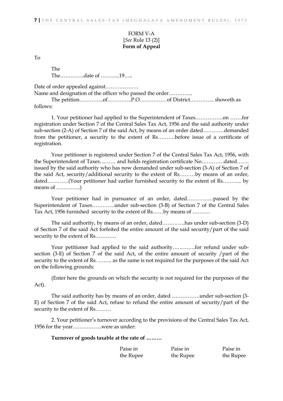#### FORM V-A [*See* Rule 13 (2)] **Form of Appeal**

To

The The…………..date of ………..19…..

Date of order appealed against……………….

Name and designation of the officer who passed the order…………..

The petition…………..of…………..P.O………………………………………………… showeth as follows:

1. Your petitioner had applied to the Superintendent of Taxes…………….on …….for registration under Section 7 of the Central Sales Tax Act, 1956 and the said authority under sub-section (2-A) of Section 7 of the said Act, by means of an order dated…………demanded from the petitioner, a security to the extent of Rs……….before issue of a certificate of registration.

Your petitioner is registered under Section 7 of the Central Sales Tax Act, 1956, with the Superintendent of Taxes……… and holds registration certificate No………….dated……. issued by the said authority who has now demanded under sub-section (3-A) of Section 7 of the said Act, security/additional security to the extent of Rs………by means of an order, dated…………(Your petitioner had earlier furnished security to the extent of Rs……….. by means of …………..)

Your petitioner had in pursuance of an order, dated……………passed by the Superintendent of Taxes………….under sub-section (3-B) of Section 7 of the Central Sales Tax Act, 1956 furnished security to the extent of Rs……by means of ……….

The said authority, by means of an order, dated………….has under sub-section (3-D) of Section 7 of the said Act forfeited the entire amount of the said security/part of the said security to the extent of Rs…………

Your petitioner had applied to the said authority…………..for refund under subsection (3-E) of Section 7 of the said Act, of the entire amount of security /part of the security to the extent of Rs. …….. as the same is not required for the purposes of the said Act on the following grounds:

(Enter here the grounds on which the security is not required for the purposes of the Act).

The said authority has by means of an order, dated …………….under sub-section (3- E) of Section 7 of the said Act, refuse to refund the entire amount of security/part of the security to the extent of Rs………

2. Your petitioner's turnover according to the provisions of the Central Sales Tax Act, 1956 for the year……………..were as under:

**Turnover of goods taxable at the rate of ………**

| Paise in  | Paise in  | Paise in  |
|-----------|-----------|-----------|
| the Rupee | the Rupee | the Rupee |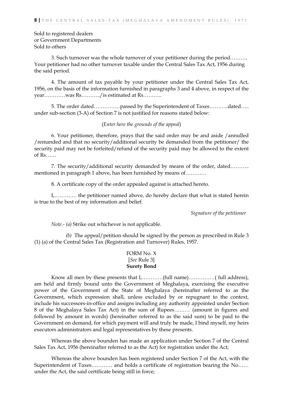#### Sold to registered dealers or Government Departments Sold to others

3. Such turnover was the whole turnover of your petitioner during the period………. Your petitioner had no other turnover taxable under the Central Sales Tax Act, 1956 during the said period.

4. The amount of tax payable by your petitioner under the Central Sales Tax Act, 1956, on the basis of the information furnished in paragraphs 3 and 4 above, in respect of the year…………was Rs………../is estimated at Rs………..

5. The order dated……………passed by the Superintendent of Taxes………..dated….. under sub-section (3-A) of Section 7 is not justified for reasons stated below:

#### (*Enter here the grounds of the appeal*)

6. Your petitioner, therefore, prays that the said order may be and aside /annulled /remanded and that no security/additional security be demanded from the petitioner/ the security paid may not be forfeited/refund of the security paid may be allowed to the extent of  $Rs$ ……

7. The security/additional security demanded by means of the order, dated……….. mentioned in paragraph 1 above, has been furnished by means of…………

8. A certificate copy of the order appealed against is attached hereto.

I,…………. the petitioner named above, do hereby declare that what is stated herein is true to the best of my information and belief.

*Signature of the petitioner*

*Note.- (a)* Strike out whichever is not applicable.

 *(b)* The appeal/petition should be signed by the person as prescribed in Rule 3 (1) (a) of the Central Sales Tax (Registration and Turnover) Rules, 1957.

#### FORM No. X [*See* Rule 3] **Surety Bond**

Know all men by these presents that I,…………(full name)……………( full address), am held and firmly bound unto the Government of Meghalaya, exercising the executive power of the Government of the State of Meghalaya (hereinafter referred to as the Government, which expression shall, unless excluded by or repugnant to the context, include his successors-in-office and assigns including any authority appointed under Section 8 of the Meghalaya Sales Tax Act) in the sum of Rupees……… (amount in figures and followed by amount in words) (hereinafter referred to as the said sum) to be paid to the Government on demand, for which payment will and truly be made, I bind myself, my heirs executors administrators and legal representatives by these presents.

Whereas the above bounden has made an application under Section 7 of the Central Sales Tax Act, 1956 (hereinafter referred to as the Act) for registration under the Act;

Whereas the above bounden has been registered under Section 7 of the Act, with the Superintendent of Taxes………… and holds a certificate of registration bearing the No…… under the Act, the said certificate being still in force;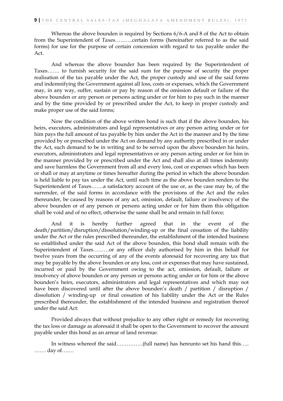Whereas the above bounden is required by Sections 6/6-A and 8 of the Act to obtain from the Superintendent of Taxes……….certain forms (hereinafter referred to as the said forms) for use for the purpose of certain concession with regard to tax payable under the Act.

And whereas the above bounder has been required by the Superintendent of Taxes……. to furnish security for the said sum for the purpose of security the proper realisation of the tax payable under the Act, the proper custody and use of the said forms and indemnifying the Government against all loss, costs or expenses, which the Government may, in any way, suffer, sustain or pay by reason of the omission default or failure of the above bounden or any person or persons acting under or for him to pay such in the manner and by the time provided by or prescribed under the Act, to keep in proper custody and make proper use of the said forms;

Now the condition of the above written bond is such that if the above bounden, his heirs, executors, administrators and legal representatives or any person acting under or for him pays the full amount of tax payable by him under the Act in the manner and by the time provided by or prescribed under the Act on demand by any authority prescribed in or under the Act, such demand to be in writing and to be served upon the above bounden his heirs, executors, administrators and legal representatives or any person acting under or for him in the manner provided by or prescribed under the Act and shall also at all times indemnity and save harmless the Government from all and every loss, cost or expenses which has been or shall or may at anytime or times hereafter during the period in which the above bounden is held liable to pay tax under the Act, until such time as the above bounden renders to the Superintendent of Taxes…….a satisfactory account of the use or, as the case may be, of the surrender, of the said forms in accordance with the provisions of the Act and the rules thereunder, be caused by reasons of any act, omission, default, failure or insolvency of the above bounden or of any person or persons acting under or for him them this obligation shall be void and of no effect, otherwise the same shall be and remain in full force;

And it is hereby further agreed that in the event of the death/partition/disruption/dissolution/winding-up or the final cessation of the liability under the Act or the rules prescribed thereunder, the establishment of the intended business so established under the said Act of the above bounden, this bond shall remain with the Superintendent of Taxes………or any officer duly authorised by him in this behalf for twelve years from the occurring of any of the events aforesaid for recovering any tax that may be payable by the above bounden or any loss, cost or expenses that may have sustained, incurred or paid by the Government owing to the act, omission, default, failure or insolvency of above bounden or any person or persons acting under or for him or the above bounden's heirs, executors, administrators and legal representatives and which may not have been discovered until after the above bounden's death / partition / disruption / dissolution / winding-up or final cessation of his liability under the Act or the Rules prescribed thereunder, the establishment of the intended business and registration thereof under the said Act:

Provided always that without prejudice to any other right or remedy for recovering the tax loss or damage as aforesaid it shall be open to the Government to recover the amount payable under this bond as an arrear of land revenue.

In witness whereof the said……………(full name) has hereunto set his hand this….. ……. day of…….